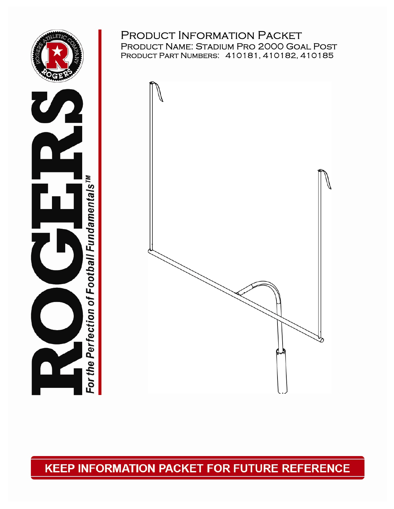



### PRODUCT INFORMATION PACKET Product Name: Stadium Pro 2000 Goal Post Product Part Numbers: 410181, 410182, 410185



**KEEP INFORMATION PACKET FOR FUTURE REFERENCE** 

0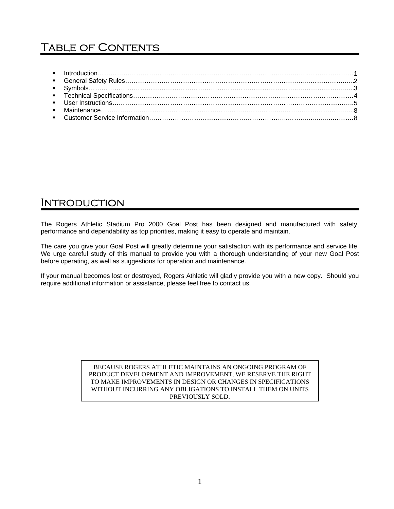# TABLE OF CONTENTS

## **INTRODUCTION**

The Rogers Athletic Stadium Pro 2000 Goal Post has been designed and manufactured with safety, performance and dependability as top priorities, making it easy to operate and maintain.

The care you give your Goal Post will greatly determine your satisfaction with its performance and service life. We urge careful study of this manual to provide you with a thorough understanding of your new Goal Post before operating, as well as suggestions for operation and maintenance.

If your manual becomes lost or destroyed, Rogers Athletic will gladly provide you with a new copy. Should you require additional information or assistance, please feel free to contact us.

> BECAUSE ROGERS ATHLETIC MAINTAINS AN ONGOING PROGRAM OF PRODUCT DEVELOPMENT AND IMPROVEMENT, WE RESERVE THE RIGHT TO MAKE IMPROVEMENTS IN DESIGN OR CHANGES IN SPECIFICATIONS WITHOUT INCURRING ANY OBLIGATIONS TO INSTALL THEM ON UNITS PREVIOUSLY SOLD.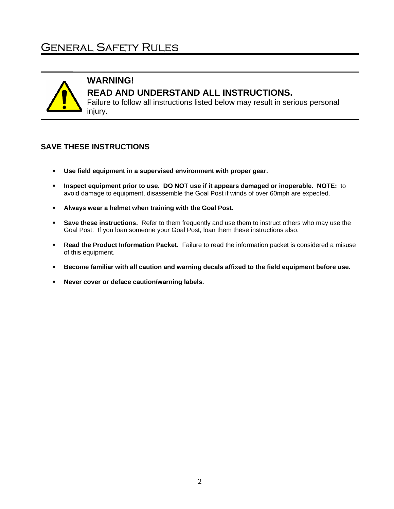## General Safety Rules



### **WARNING! READ AND UNDERSTAND ALL INSTRUCTIONS.**

Failure to follow all instructions listed below may result in serious personal injury.

#### **SAVE THESE INSTRUCTIONS**

- **Use field equipment in a supervised environment with proper gear.**
- **Inspect equipment prior to use. DO NOT use if it appears damaged or inoperable. NOTE:** to avoid damage to equipment, disassemble the Goal Post if winds of over 60mph are expected.
- **Always wear a helmet when training with the Goal Post.**
- **Save these instructions.** Refer to them frequently and use them to instruct others who may use the Goal Post. If you loan someone your Goal Post, loan them these instructions also.
- **Read the Product Information Packet.** Failure to read the information packet is considered a misuse of this equipment.
- **Become familiar with all caution and warning decals affixed to the field equipment before use.**
- **Never cover or deface caution/warning labels.**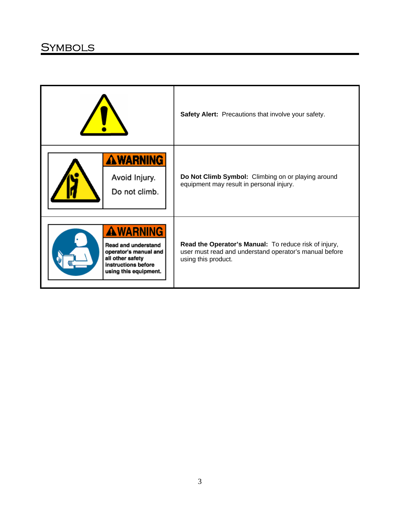## **SYMBOLS**

|                                                                                                                                            | Safety Alert: Precautions that involve your safety.                                                                                    |
|--------------------------------------------------------------------------------------------------------------------------------------------|----------------------------------------------------------------------------------------------------------------------------------------|
| <b>AWARNING</b><br>Avoid Injury.<br>Do not climb.                                                                                          | Do Not Climb Symbol: Climbing on or playing around<br>equipment may result in personal injury.                                         |
| <b>AWARNING</b><br><b>Read and understand</b><br>operator's manual and<br>all other safety<br>instructions before<br>using this equipment. | Read the Operator's Manual: To reduce risk of injury,<br>user must read and understand operator's manual before<br>using this product. |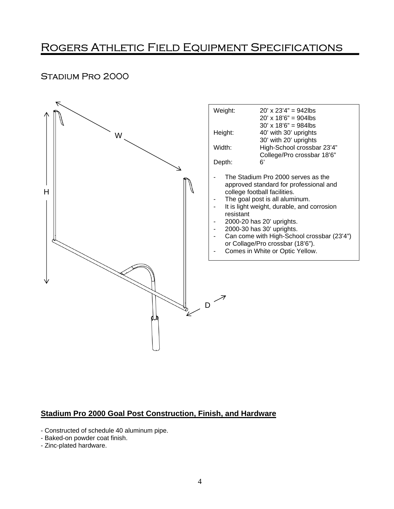# ROGERS ATHLETIC FIELD EQUIPMENT SPECIFICATIONS

#### Stadium Pro 2000



#### **Stadium Pro 2000 Goal Post Construction, Finish, and Hardware**

- Constructed of schedule 40 aluminum pipe.

- Baked-on powder coat finish.

- Zinc-plated hardware.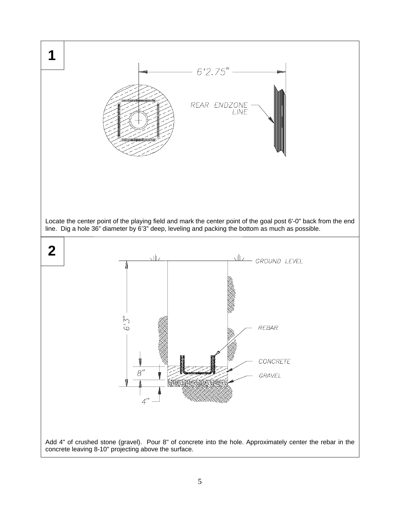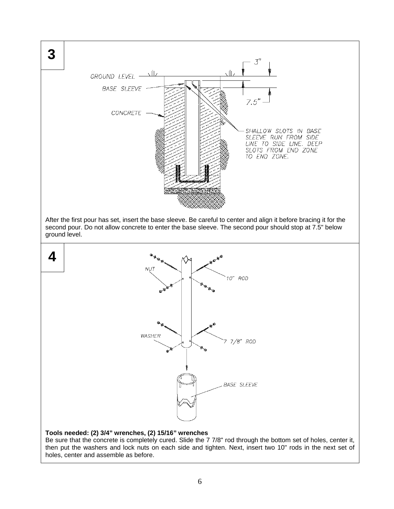

Be sure that the concrete is completely cured. Slide the 7 7/8" rod through the bottom set of holes, center it, then put the washers and lock nuts on each side and tighten. Next, insert two 10" rods in the next set of holes, center and assemble as before.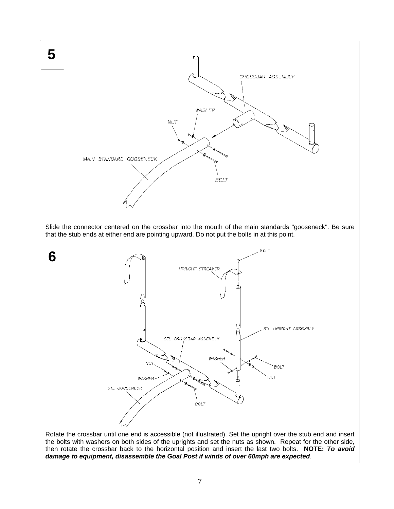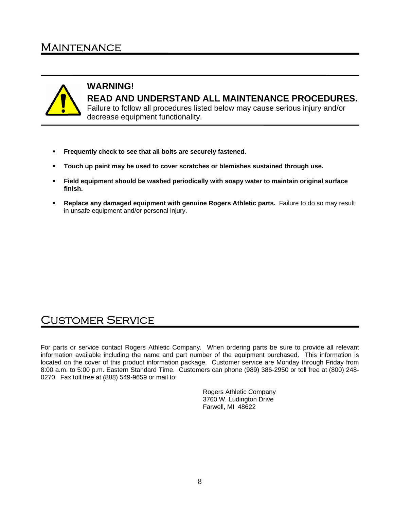## **MAINTENANCE**



1

#### **WARNING! READ AND UNDERSTAND ALL MAINTENANCE PROCEDURES.**  Failure to follow all procedures listed below may cause serious injury and/or decrease equipment functionality.

- **Frequently check to see that all bolts are securely fastened.**
- **Touch up paint may be used to cover scratches or blemishes sustained through use.**
- **Field equipment should be washed periodically with soapy water to maintain original surface finish.**
- **Replace any damaged equipment with genuine Rogers Athletic parts.** Failure to do so may result in unsafe equipment and/or personal injury.

### Customer Service

For parts or service contact Rogers Athletic Company. When ordering parts be sure to provide all relevant information available including the name and part number of the equipment purchased. This information is located on the cover of this product information package. Customer service are Monday through Friday from 8:00 a.m. to 5:00 p.m. Eastern Standard Time. Customers can phone (989) 386-2950 or toll free at (800) 248- 0270. Fax toll free at (888) 549-9659 or mail to:

> Rogers Athletic Company 3760 W. Ludington Drive Farwell, MI 48622